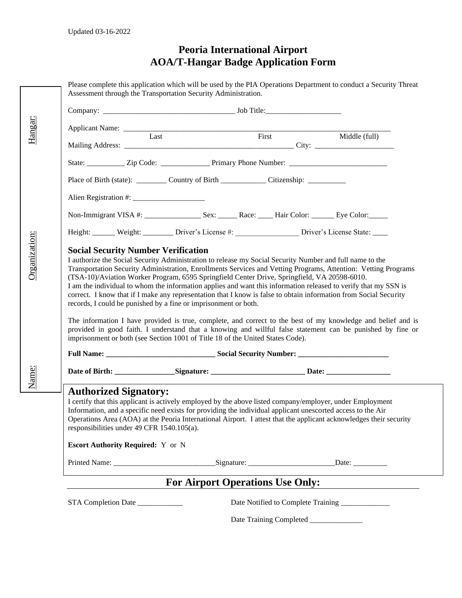## **Peoria International Airport AOA/T-Hangar Badge Application Form**

|                                                                                                                           | Applicant Name: Last Eirst Middle (full)                                                                                                                                                                                                                                                                                                       |                                                                                              |                                                                                                                |  |  |
|---------------------------------------------------------------------------------------------------------------------------|------------------------------------------------------------------------------------------------------------------------------------------------------------------------------------------------------------------------------------------------------------------------------------------------------------------------------------------------|----------------------------------------------------------------------------------------------|----------------------------------------------------------------------------------------------------------------|--|--|
|                                                                                                                           |                                                                                                                                                                                                                                                                                                                                                |                                                                                              |                                                                                                                |  |  |
|                                                                                                                           |                                                                                                                                                                                                                                                                                                                                                |                                                                                              |                                                                                                                |  |  |
|                                                                                                                           | Place of Birth (state): ___________ Country of Birth _______________ Citizenship: ____________                                                                                                                                                                                                                                                 |                                                                                              |                                                                                                                |  |  |
|                                                                                                                           |                                                                                                                                                                                                                                                                                                                                                |                                                                                              |                                                                                                                |  |  |
|                                                                                                                           |                                                                                                                                                                                                                                                                                                                                                |                                                                                              |                                                                                                                |  |  |
|                                                                                                                           | Height: Weight: Weight: Driver's License #: Driver's License State: ____                                                                                                                                                                                                                                                                       |                                                                                              |                                                                                                                |  |  |
|                                                                                                                           | I am the individual to whom the information applies and want this information released to verify that my SSN is<br>correct. I know that if I make any representation that I know is false to obtain information from Social Security<br>records, I could be punished by a fine or imprisonment or both.                                        | (TSA-10)/Aviation Worker Program, 6595 Springfield Center Drive, Springfield, VA 20598-6010. | Transportation Security Administration, Enrollments Services and Vetting Programs, Attention: Vetting Programs |  |  |
|                                                                                                                           | The information I have provided is true, complete, and correct to the best of my knowledge and belief and is<br>provided in good faith. I understand that a knowing and willful false statement can be punished by fine or<br>imprisonment or both (see Section 1001 of Title 18 of the United States Code).                                   |                                                                                              |                                                                                                                |  |  |
|                                                                                                                           |                                                                                                                                                                                                                                                                                                                                                |                                                                                              |                                                                                                                |  |  |
| <b>Authorized Signatory:</b><br>responsibilities under 49 CFR $1540.105(a)$ .<br><b>Escort Authority Required:</b> Y or N | I certify that this applicant is actively employed by the above listed company/employer, under Employment<br>Information, and a specific need exists for providing the individual applicant unescorted access to the Air<br>Operations Area (AOA) at the Peoria International Airport. I attest that the applicant acknowledges their security |                                                                                              |                                                                                                                |  |  |
|                                                                                                                           |                                                                                                                                                                                                                                                                                                                                                |                                                                                              |                                                                                                                |  |  |
|                                                                                                                           | <b>For Airport Operations Use Only:</b>                                                                                                                                                                                                                                                                                                        |                                                                                              |                                                                                                                |  |  |
| STA Completion Date __________                                                                                            |                                                                                                                                                                                                                                                                                                                                                |                                                                                              | Date Notified to Complete Training ___________                                                                 |  |  |